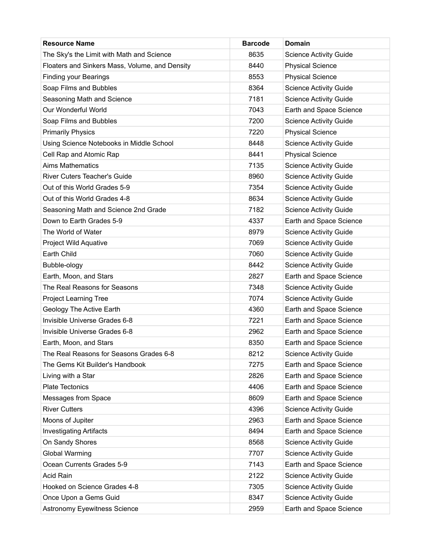| <b>Resource Name</b>                           | <b>Barcode</b> | <b>Domain</b>                 |
|------------------------------------------------|----------------|-------------------------------|
| The Sky's the Limit with Math and Science      | 8635           | <b>Science Activity Guide</b> |
| Floaters and Sinkers Mass, Volume, and Density | 8440           | <b>Physical Science</b>       |
| <b>Finding your Bearings</b>                   | 8553           | <b>Physical Science</b>       |
| Soap Films and Bubbles                         | 8364           | <b>Science Activity Guide</b> |
| Seasoning Math and Science                     | 7181           | <b>Science Activity Guide</b> |
| Our Wonderful World                            | 7043           | Earth and Space Science       |
| Soap Films and Bubbles                         | 7200           | <b>Science Activity Guide</b> |
| <b>Primarily Physics</b>                       | 7220           | <b>Physical Science</b>       |
| Using Science Notebooks in Middle School       | 8448           | <b>Science Activity Guide</b> |
| Cell Rap and Atomic Rap                        | 8441           | <b>Physical Science</b>       |
| <b>Aims Mathematics</b>                        | 7135           | <b>Science Activity Guide</b> |
| <b>River Cuters Teacher's Guide</b>            | 8960           | <b>Science Activity Guide</b> |
| Out of this World Grades 5-9                   | 7354           | <b>Science Activity Guide</b> |
| Out of this World Grades 4-8                   | 8634           | <b>Science Activity Guide</b> |
| Seasoning Math and Science 2nd Grade           | 7182           | <b>Science Activity Guide</b> |
| Down to Earth Grades 5-9                       | 4337           | Earth and Space Science       |
| The World of Water                             | 8979           | <b>Science Activity Guide</b> |
| Project Wild Aquative                          | 7069           | <b>Science Activity Guide</b> |
| Earth Child                                    | 7060           | <b>Science Activity Guide</b> |
| Bubble-ology                                   | 8442           | <b>Science Activity Guide</b> |
| Earth, Moon, and Stars                         | 2827           | Earth and Space Science       |
| The Real Reasons for Seasons                   | 7348           | <b>Science Activity Guide</b> |
| <b>Project Learning Tree</b>                   | 7074           | <b>Science Activity Guide</b> |
| Geology The Active Earth                       | 4360           | Earth and Space Science       |
| <b>Invisible Universe Grades 6-8</b>           | 7221           | Earth and Space Science       |
| Invisible Universe Grades 6-8                  | 2962           | Earth and Space Science       |
| Earth, Moon, and Stars                         | 8350           | Earth and Space Science       |
| The Real Reasons for Seasons Grades 6-8        | 8212           | <b>Science Activity Guide</b> |
| The Gems Kit Builder's Handbook                | 7275           | Earth and Space Science       |
| Living with a Star                             | 2826           | Earth and Space Science       |
| <b>Plate Tectonics</b>                         | 4406           | Earth and Space Science       |
| Messages from Space                            | 8609           | Earth and Space Science       |
| <b>River Cutters</b>                           | 4396           | <b>Science Activity Guide</b> |
| Moons of Jupiter                               | 2963           | Earth and Space Science       |
| <b>Investigating Artifacts</b>                 | 8494           | Earth and Space Science       |
| On Sandy Shores                                | 8568           | <b>Science Activity Guide</b> |
| <b>Global Warming</b>                          | 7707           | <b>Science Activity Guide</b> |
| Ocean Currents Grades 5-9                      | 7143           | Earth and Space Science       |
| <b>Acid Rain</b>                               | 2122           | <b>Science Activity Guide</b> |
| Hooked on Science Grades 4-8                   | 7305           | <b>Science Activity Guide</b> |
| Once Upon a Gems Guid                          | 8347           | <b>Science Activity Guide</b> |
| <b>Astronomy Eyewitness Science</b>            | 2959           | Earth and Space Science       |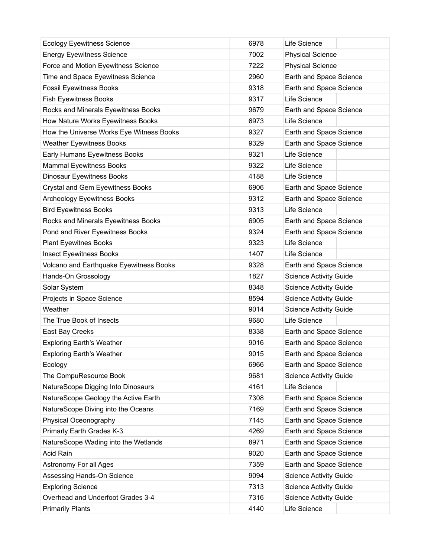| <b>Ecology Eyewitness Science</b>        | 6978 | Life Science                  |
|------------------------------------------|------|-------------------------------|
| <b>Energy Eyewitness Science</b>         | 7002 | <b>Physical Science</b>       |
| Force and Motion Eyewitness Science      | 7222 | <b>Physical Science</b>       |
| Time and Space Eyewitness Science        | 2960 | Earth and Space Science       |
| <b>Fossil Eyewitness Books</b>           | 9318 | Earth and Space Science       |
| <b>Fish Eyewitness Books</b>             | 9317 | Life Science                  |
| Rocks and Minerals Eyewitness Books      | 9679 | Earth and Space Science       |
| How Nature Works Eyewitness Books        | 6973 | Life Science                  |
| How the Universe Works Eye Witness Books | 9327 | Earth and Space Science       |
| <b>Weather Eyewitness Books</b>          | 9329 | Earth and Space Science       |
| Early Humans Eyewitness Books            | 9321 | Life Science                  |
| <b>Mammal Eyewitness Books</b>           | 9322 | Life Science                  |
| Dinosaur Eyewitness Books                | 4188 | Life Science                  |
| Crystal and Gem Eyewitness Books         | 6906 | Earth and Space Science       |
| Archeology Eyewitness Books              | 9312 | Earth and Space Science       |
| <b>Bird Eyewitness Books</b>             | 9313 | Life Science                  |
| Rocks and Minerals Eyewitness Books      | 6905 | Earth and Space Science       |
| Pond and River Eyewitness Books          | 9324 | Earth and Space Science       |
| <b>Plant Eyewitnes Books</b>             | 9323 | Life Science                  |
| <b>Insect Eyewitness Books</b>           | 1407 | Life Science                  |
| Volcano and Earthquake Eyewitness Books  | 9328 | Earth and Space Science       |
| Hands-On Grossology                      | 1827 | <b>Science Activity Guide</b> |
| Solar System                             | 8348 | <b>Science Activity Guide</b> |
| Projects in Space Science                | 8594 | <b>Science Activity Guide</b> |
| Weather                                  | 9014 | <b>Science Activity Guide</b> |
| The True Book of Insects                 | 9680 | Life Science                  |
| East Bay Creeks                          | 8338 | Earth and Space Science       |
| <b>Exploring Earth's Weather</b>         | 9016 | Earth and Space Science       |
| <b>Exploring Earth's Weather</b>         | 9015 | Earth and Space Science       |
| Ecology                                  | 6966 | Earth and Space Science       |
| The CompuResource Book                   | 9681 | <b>Science Activity Guide</b> |
| NatureScope Digging Into Dinosaurs       | 4161 | Life Science                  |
| NatureScope Geology the Active Earth     | 7308 | Earth and Space Science       |
| NatureScope Diving into the Oceans       | 7169 | Earth and Space Science       |
| Physical Oceonography                    | 7145 | Earth and Space Science       |
| Primarly Earth Grades K-3                | 4269 | Earth and Space Science       |
| NatureScope Wading into the Wetlands     | 8971 | Earth and Space Science       |
| Acid Rain                                | 9020 | Earth and Space Science       |
| Astronomy For all Ages                   | 7359 | Earth and Space Science       |
| Assessing Hands-On Science               | 9094 | <b>Science Activity Guide</b> |
| <b>Exploring Science</b>                 | 7313 | <b>Science Activity Guide</b> |
| Overhead and Underfoot Grades 3-4        | 7316 | <b>Science Activity Guide</b> |
| <b>Primarily Plants</b>                  | 4140 | Life Science                  |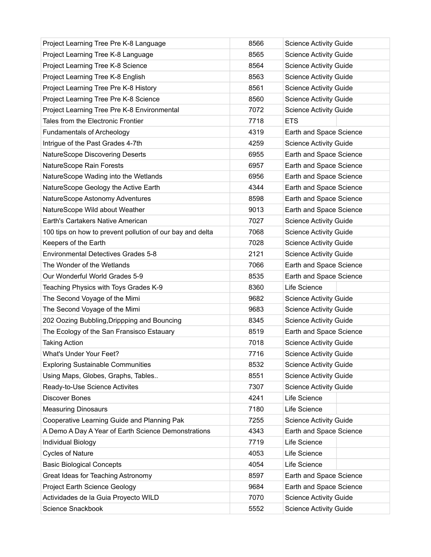| Project Learning Tree Pre K-8 Language                    | 8566 | <b>Science Activity Guide</b> |
|-----------------------------------------------------------|------|-------------------------------|
| Project Learning Tree K-8 Language                        | 8565 | <b>Science Activity Guide</b> |
| Project Learning Tree K-8 Science                         | 8564 | <b>Science Activity Guide</b> |
| Project Learning Tree K-8 English                         | 8563 | <b>Science Activity Guide</b> |
| Project Learning Tree Pre K-8 History                     | 8561 | <b>Science Activity Guide</b> |
| Project Learning Tree Pre K-8 Science                     | 8560 | <b>Science Activity Guide</b> |
| Project Learning Tree Pre K-8 Environmental               | 7072 | <b>Science Activity Guide</b> |
| Tales from the Electronic Frontier                        | 7718 | <b>ETS</b>                    |
| <b>Fundamentals of Archeology</b>                         | 4319 | Earth and Space Science       |
| Intrigue of the Past Grades 4-7th                         | 4259 | <b>Science Activity Guide</b> |
| NatureScope Discovering Deserts                           | 6955 | Earth and Space Science       |
| NatureScope Rain Forests                                  | 6957 | Earth and Space Science       |
| NatureScope Wading into the Wetlands                      | 6956 | Earth and Space Science       |
| NatureScope Geology the Active Earth                      | 4344 | Earth and Space Science       |
| NatureScope Astonomy Adventures                           | 8598 | Earth and Space Science       |
| NatureScope Wild about Weather                            | 9013 | Earth and Space Science       |
| Earth's Cartakers Native American                         | 7027 | <b>Science Activity Guide</b> |
| 100 tips on how to prevent pollution of our bay and delta | 7068 | <b>Science Activity Guide</b> |
| Keepers of the Earth                                      | 7028 | <b>Science Activity Guide</b> |
| <b>Environmental Detectives Grades 5-8</b>                | 2121 | <b>Science Activity Guide</b> |
| The Wonder of the Wetlands                                | 7066 | Earth and Space Science       |
| Our Wonderful World Grades 5-9                            | 8535 | Earth and Space Science       |
| Teaching Physics with Toys Grades K-9                     | 8360 | Life Science                  |
| The Second Voyage of the Mimi                             | 9682 | <b>Science Activity Guide</b> |
| The Second Voyage of the Mimi                             | 9683 | <b>Science Activity Guide</b> |
| 202 Oozing Bubbling, Drippping and Bouncing               | 8345 | <b>Science Activity Guide</b> |
| The Ecology of the San Fransisco Estauary                 | 8519 | Earth and Space Science       |
| <b>Taking Action</b>                                      | 7018 | <b>Science Activity Guide</b> |
| What's Under Your Feet?                                   | 7716 | <b>Science Activity Guide</b> |
| <b>Exploring Sustainable Communities</b>                  | 8532 | <b>Science Activity Guide</b> |
| Using Maps, Globes, Graphs, Tables                        | 8551 | <b>Science Activity Guide</b> |
| Ready-to-Use Science Activites                            | 7307 | <b>Science Activity Guide</b> |
| <b>Discover Bones</b>                                     | 4241 | Life Science                  |
| <b>Measuring Dinosaurs</b>                                | 7180 | Life Science                  |
| Cooperative Learning Guide and Planning Pak               | 7255 | <b>Science Activity Guide</b> |
| A Demo A Day A Year of Earth Science Demonstrations       | 4343 | Earth and Space Science       |
| Individual Biology                                        | 7719 | Life Science                  |
| <b>Cycles of Nature</b>                                   | 4053 | Life Science                  |
| <b>Basic Biological Concepts</b>                          | 4054 | Life Science                  |
| Great Ideas for Teaching Astronomy                        | 8597 | Earth and Space Science       |
| Project Earth Science Geology                             | 9684 | Earth and Space Science       |
| Actividades de la Guia Proyecto WILD                      | 7070 | <b>Science Activity Guide</b> |
| Science Snackbook                                         | 5552 | <b>Science Activity Guide</b> |